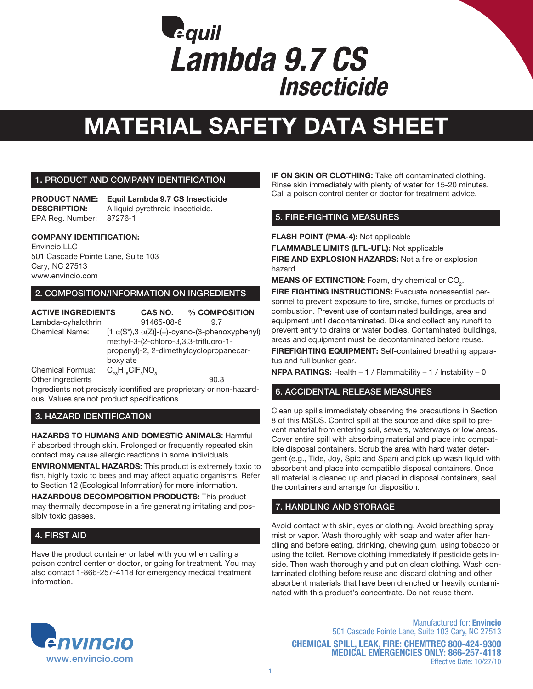

### 1. PRODUCT AND COMPANY IDENTIFICATION

**PRODUCT NAME: Equil Lambda 9.7 CS Insecticide DESCRIPTION:** A liquid pyrethroid insecticide. EPA Reg. Number: 87276-1

### **COMPANY IDENTIFICATION:**

Envincio LLC 501 Cascade Pointe Lane, Suite 103 Cary, NC 27513 www.envincio.com

### 2. COMPOSITION/INFORMATION ON INGREDIENTS

| <b>ACTIVE INGREDIENTS</b> |                                         | CAS NO.                                                       | % COMPOSITION |      |  |  |
|---------------------------|-----------------------------------------|---------------------------------------------------------------|---------------|------|--|--|
| Lambda-cyhalothrin        |                                         | 91465-08-6                                                    |               | 97   |  |  |
| <b>Chemical Name:</b>     |                                         | $[1 \alpha(S^*), 3 \alpha(Z)]-(\pm)$ -cyano-(3-phenoxyphenyl) |               |      |  |  |
|                           | methyl-3-(2-chloro-3,3,3-trifluoro-1-   |                                                               |               |      |  |  |
|                           | propenyl)-2, 2-dimethylcyclopropanecar- |                                                               |               |      |  |  |
|                           | boxylate                                |                                                               |               |      |  |  |
| Chemical Formua:          | $C_{23}H_{10}CIF_{3}NO_{3}$             |                                                               |               |      |  |  |
| Other ingredients         |                                         |                                                               |               | 90.3 |  |  |
|                           |                                         |                                                               |               |      |  |  |

Ingredients not precisely identified are proprietary or non-hazardous. Values are not product specifications.

### 3. HAZARD IDENTIFICATION

**HAZARDS TO HUMANS AND DOMESTIC ANIMALS:** Harmful if absorbed through skin. Prolonged or frequently repeated skin contact may cause allergic reactions in some individuals.

**ENVIRONMENTAL HAZARDS:** This product is extremely toxic to fish, highly toxic to bees and may affect aquatic organisms. Refer to Section 12 (Ecological Information) for more information.

**HAZARDOUS DECOMPOSITION PRODUCTS:** This product may thermally decompose in a fire generating irritating and possibly toxic gasses.

## 4. FIRST AID

Have the product container or label with you when calling a poison control center or doctor, or going for treatment. You may also contact 1-866-257-4118 for emergency medical treatment information.

**IF ON SKIN OR CLOTHING:** Take off contaminated clothing. Rinse skin immediately with plenty of water for 15-20 minutes. Call a poison control center or doctor for treatment advice.

### 5. FIRE-FIGHTING MEASURES

**FLASH POINT (PMA-4):** Not applicable

**FLAMMABLE LIMITS (LFL-UFL):** Not applicable

**FIRE AND EXPLOSION HAZARDS:** Not a fire or explosion hazard.

**MEANS OF EXTINCTION:** Foam, dry chemical or CO<sub>2</sub>.

**FIRE FIGHTING INSTRUCTIONS:** Evacuate nonessential personnel to prevent exposure to fire, smoke, fumes or products of combustion. Prevent use of contaminated buildings, area and equipment until decontaminated. Dike and collect any runoff to prevent entry to drains or water bodies. Contaminated buildings, areas and equipment must be decontaminated before reuse.

**FIREFIGHTING EQUIPMENT:** Self-contained breathing apparatus and full bunker gear.

**NFPA RATINGS:** Health – 1 / Flammability – 1 / Instability – 0

## 6. ACCIDENTAL RELEASE MEASURES

Clean up spills immediately observing the precautions in Section 8 of this MSDS. Control spill at the source and dike spill to prevent material from entering soil, sewers, waterways or low areas. Cover entire spill with absorbing material and place into compatible disposal containers. Scrub the area with hard water detergent (e.g., Tide, Joy, Spic and Span) and pick up wash liquid with absorbent and place into compatible disposal containers. Once all material is cleaned up and placed in disposal containers, seal the containers and arrange for disposition.

## 7. HANDLING AND STORAGE

Avoid contact with skin, eyes or clothing. Avoid breathing spray mist or vapor. Wash thoroughly with soap and water after handling and before eating, drinking, chewing gum, using tobacco or using the toilet. Remove clothing immediately if pesticide gets inside. Then wash thoroughly and put on clean clothing. Wash contaminated clothing before reuse and discard clothing and other absorbent materials that have been drenched or heavily contaminated with this product's concentrate. Do not reuse them.



Manufactured for: **Envincio** 501 Cascade Pointe Lane, Suite 103 Cary, NC 27513 **CHEMICAL SPILL, LEAK, FIRE: CHEMTREC 800-424-9300 MEDICAL EMERGENCIES ONLY: 866-257-4118** Effective Date: 10/27/10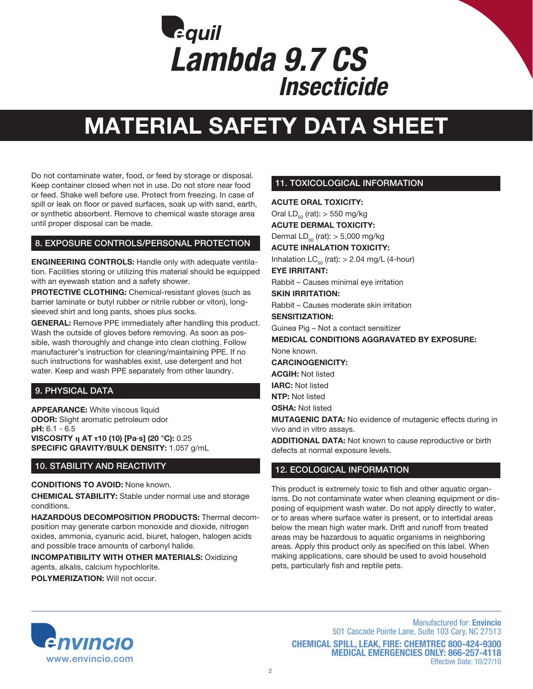

Do not contaminate water, food, or feed by storage or disposal. Keep container closed when not in use. Do not store near food or feed. Shake well before use. Protect from freezing. In case of spill or leak on floor or paved surfaces, soak up with sand, earth, or synthetic absorbent. Remove to chemical waste storage area until proper disposal can be made.

### 8. EXPOSURE CONTROLS/PERSONAL PROTECTION

**ENGINEERING CONTROLS:** Handle only with adequate ventilation. Facilities storing or utilizing this material should be equipped with an eyewash station and a safety shower.

**PROTECTIVE CLOTHING:** Chemical-resistant gloves (such as barrier laminate or butyl rubber or nitrile rubber or viton), longsleeved shirt and long pants, shoes plus socks.

**GENERAL:** Remove PPE immediately after handling this product. Wash the outside of gloves before removing. As soon as possible, wash thoroughly and change into clean clothing. Follow manufacturer's instruction for cleaning/maintaining PPE. If no such instructions for washables exist, use detergent and hot water. Keep and wash PPE separately from other laundry.

## 9. PHYSICAL DATA

**APPEARANCE:** White viscous liquid **ODOR:** Slight aromatic petroleum odor **pH:** 6.1 - 6.5 **VISCOSITY η AT τ10 (10) [Pa·s] (20 °C):** 0.25 **SPECIFIC GRAVITY/BULK DENSITY:** 1.057 g/mL

## 10. STABILITY AND REACTIVITY

**CONDITIONS TO AVOID:** None known.

**CHEMICAL STABILITY:** Stable under normal use and storage conditions.

**HAZARDOUS DECOMPOSITION PRODUCTS:** Thermal decomposition may generate carbon monoxide and dioxide, nitrogen oxides, ammonia, cyanuric acid, biuret, halogen, halogen acids and possible trace amounts of carbonyl halide.

**INCOMPATIBILITY WITH OTHER MATERIALS:** Oxidizing agents, alkalis, calcium hypochlorite.

**POLYMERIZATION:** Will not occur.

# 11. TOXICOLOGICAL INFORMATION

**ACUTE ORAL TOXICITY:** 

Oral  $LD_{50}$  (rat):  $> 550$  mg/kg **ACUTE DERMAL TOXICITY:** 

Dermal  $LD_{50}$  (rat):  $> 5,000$  mg/kg **ACUTE INHALATION TOXICITY:** 

Inhalation  $LC_{50}$  (rat):  $> 2.04$  mg/L (4-hour)

**EYE IRRITANT:** 

Rabbit – Causes minimal eye irritation

**SKIN IRRITATION:** 

Rabbit – Causes moderate skin irritation

**SENSITIZATION:** 

Guinea Pig – Not a contact sensitizer

**MEDICAL CONDITIONS AGGRAVATED BY EXPOSURE:**  None known.

**CARCINOGENICITY:**

**ACGIH:** Not listed

**IARC:** Not listed

**NTP:** Not listed

**OSHA:** Not listed

**MUTAGENIC DATA:** No evidence of mutagenic effects during in vivo and in vitro assays.

**ADDITIONAL DATA:** Not known to cause reproductive or birth defects at normal exposure levels.

## 12. ECOLOGICAL INFORMATION

This product is extremely toxic to fish and other aquatic organisms. Do not contaminate water when cleaning equipment or disposing of equipment wash water. Do not apply directly to water, or to areas where surface water is present, or to intertidal areas below the mean high water mark. Drift and runoff from treated areas may be hazardous to aquatic organisms in neighboring areas. Apply this product only as specified on this label. When making applications, care should be used to avoid household pets, particularly fish and reptile pets.



Manufactured for: **Envincio** 501 Cascade Pointe Lane, Suite 103 Cary, NC 27513 **CHEMICAL SPILL, LEAK, FIRE: CHEMTREC 800-424-9300 MEDICAL EMERGENCIES ONLY: 866-257-4118** Effective Date: 10/27/10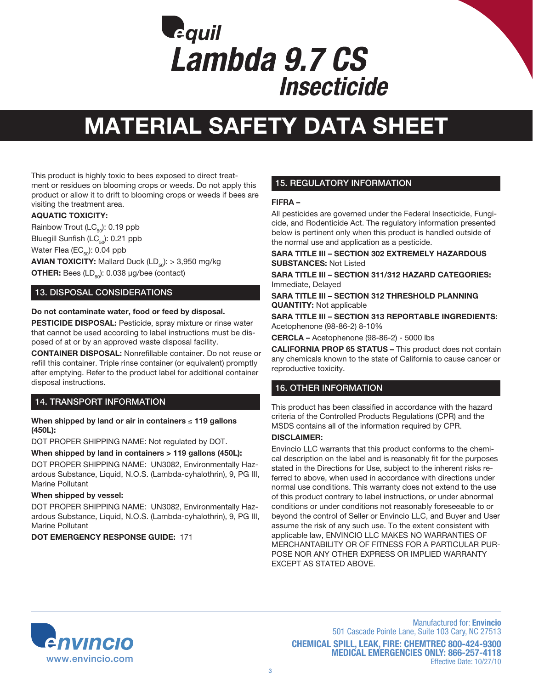

This product is highly toxic to bees exposed to direct treatment or residues on blooming crops or weeds. Do not apply this product or allow it to drift to blooming crops or weeds if bees are visiting the treatment area.

### **AQUATIC TOXICITY:**

Rainbow Trout ( $\text{LC}_{50}$ ): 0.19 ppb Bluegill Sunfish ( $\text{LC}_{50}$ ): 0.21 ppb

Water Flea ( $EC_{50}$ ): 0.04 ppb

**AVIAN TOXICITY:** Mallard Duck  $(LD_{50})$ :  $> 3,950$  mg/kg **OTHER:** Bees  $(LD_{50})$ : 0.038  $\mu$ g/bee (contact)

## 13. DISPOSAL CONSIDERATIONS

### **Do not contaminate water, food or feed by disposal.**

**PESTICIDE DISPOSAL:** Pesticide, spray mixture or rinse water that cannot be used according to label instructions must be disposed of at or by an approved waste disposal facility.

**CONTAINER DISPOSAL:** Nonrefillable container. Do not reuse or refill this container. Triple rinse container (or equivalent) promptly after emptying. Refer to the product label for additional container disposal instructions.

## 14. TRANSPORT INFORMATION

### **When shipped by land or air in containers** ≤ **119 gallons (450L):**

DOT PROPER SHIPPING NAME: Not regulated by DOT.

#### **When shipped by land in containers > 119 gallons (450L):**

DOT PROPER SHIPPING NAME: UN3082, Environmentally Hazardous Substance, Liquid, N.O.S. (Lambda-cyhalothrin), 9, PG III, Marine Pollutant

#### **When shipped by vessel:**

DOT PROPER SHIPPING NAME: UN3082, Environmentally Hazardous Substance, Liquid, N.O.S. (Lambda-cyhalothrin), 9, PG III, Marine Pollutant

**DOT EMERGENCY RESPONSE GUIDE:** 171

## 15. REGULATORY INFORMATION

### **FIFRA –**

All pesticides are governed under the Federal Insecticide, Fungicide, and Rodenticide Act. The regulatory information presented below is pertinent only when this product is handled outside of the normal use and application as a pesticide.

**SARA TITLE III – SECTION 302 EXTREMELY HAZARDOUS SUBSTANCES:** Not Listed

**SARA TITLE III – SECTION 311/312 HAZARD CATEGORIES:**  Immediate, Delayed

**SARA TITLE III – SECTION 312 THRESHOLD PLANNING QUANTITY:** Not applicable

**SARA TITLE III – SECTION 313 REPORTABLE INGREDIENTS:**  Acetophenone (98-86-2) 8-10%

**CERCLA –** Acetophenone (98-86-2) - 5000 lbs

**CALIFORNIA PROP 65 STATUS –** This product does not contain any chemicals known to the state of California to cause cancer or reproductive toxicity.

## 16. OTHER INFORMATION

This product has been classified in accordance with the hazard criteria of the Controlled Products Regulations (CPR) and the MSDS contains all of the information required by CPR.

#### **DISCLAIMER:**

Envincio LLC warrants that this product conforms to the chemical description on the label and is reasonably fit for the purposes stated in the Directions for Use, subject to the inherent risks referred to above, when used in accordance with directions under normal use conditions. This warranty does not extend to the use of this product contrary to label instructions, or under abnormal conditions or under conditions not reasonably foreseeable to or beyond the control of Seller or Envincio LLC, and Buyer and User assume the risk of any such use. To the extent consistent with applicable law, ENVINCIO LLC MAKES NO WARRANTIES OF MERCHANTABILITY OR OF FITNESS FOR A PARTICULAR PUR-POSE NOR ANY OTHER EXPRESS OR IMPLIED WARRANTY EXCEPT AS STATED ABOVE.